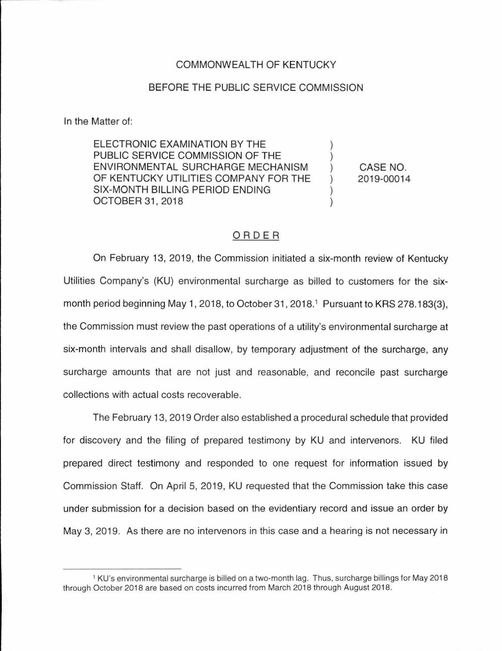### COMMONWEALTH OF KENTUCKY

#### BEFORE THE PUBLIC SERVICE COMMISSION

In the Matter of:

ELECTRONIC EXAMINATION BY THE PUBLIC SERVICE COMMISSION OF THE ENVIRONMENTAL SURCHARGE MECHANISM OF KENTUCKY UTILITIES COMPANY FOR THE SIX-MONTH BILLING PERIOD ENDING OCTOBER 31, 2018

CASE NO. 2019-00014

) ) ) ) ) )

#### ORDER

On February 13, 2019, the Commission initiated a six-month review of Kentucky Utilities Company's (KU) environmental surcharge as billed to customers for the sixmonth period beginning May 1, 2018, to October 31, 2018.<sup>1</sup> Pursuant to KRS 278.183(3), the Commission must review the past operations of a utility's environmental surcharge at six-month intervals and shall disallow, by temporary adjustment of the surcharge, any surcharge amounts that are not just and reasonable, and reconcile past surcharge collections with actual costs recoverable.

The February 13, 2019 Order also established a procedural schedule that provided for discovery and the filing of prepared testimony by KU and intervenors. KU filed prepared direct testimony and responded to one request for information issued by Commission Staff. On April 5, 2019, KU requested that the Commission take this case under submission for a decision based on the evidentiary record and issue an order by May 3, 2019. As there are no intervenors in this case and a hearing is not necessary in

<sup>1</sup>KU's environmental surcharge is billed on a two-month lag. Thus, surcharge billings for May 2018 through October 2018 are based on costs incurred from March 2018 through August 2018.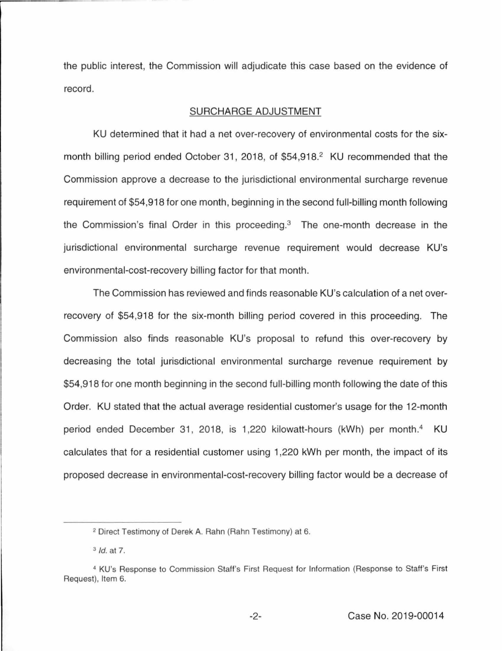the public interest, the Commission will adjudicate this case based on the evidence of record.

#### SURCHARGE ADJUSTMENT

KU determined that it had a net over-recovery of environmental costs for the sixmonth billing period ended October 31, 2018, of \$54,918.<sup>2</sup> KU recommended that the Commission approve a decrease to the jurisdictional environmental surcharge revenue requirement of \$54,918 for one month, beginning in the second full-billing month following the Commission's final Order in this proceeding. $3$  The one-month decrease in the jurisdictional environmental surcharge revenue requirement would decrease KU's environmental-cost-recovery billing factor for that month.

The Commission has reviewed and finds reasonable KU's calculation of a net overrecovery of \$54,918 for the six-month billing period covered in this proceeding. The Commission also finds reasonable KU's proposal to refund this over-recovery by decreasing the total jurisdictional environmental surcharge revenue requirement by \$54,918 for one month beginning in the second full-billing month following the date of this Order. KU stated that the actual average residential customer's usage for the 12-month period ended December 31, 2018, is 1,220 kilowatt-hours (kWh) per month.<sup>4</sup> KU calculates that for a residential customer using 1,220 kWh per month, the impact of its proposed decrease in environmental-cost-recovery billing factor would be a decrease of

<sup>2</sup> Direct Testimony of Derek A. Rahn (Rahn Testimony) at 6.

<sup>3</sup> Id. at 7.

<sup>4</sup>KU's Response to Commission Staff's First Request for Information (Response to Staff's First Request), Item 6.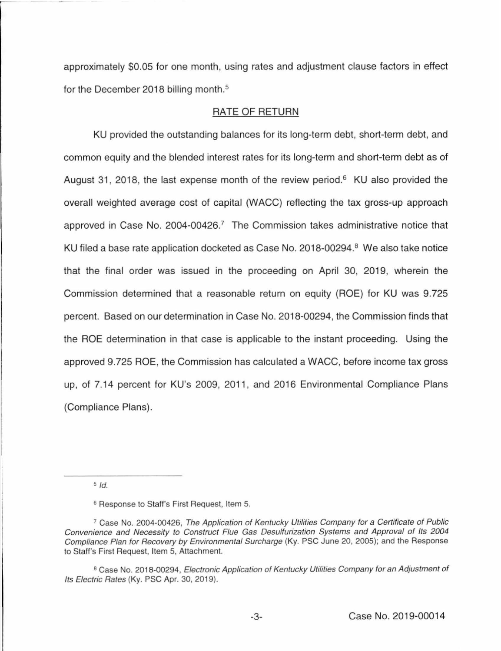approximately \$0.05 for one month, using rates and adjustment clause factors in effect for the December 2018 billing month.<sup>5</sup>

### RATE OF RETURN

KU provided the outstanding balances for its long-term debt, short-term debt, and common equity and the blended interest rates for its long-term and short-term debt as of August 31, 2018, the last expense month of the review period.<sup>6</sup> KU also provided the overall weighted average cost of capital (WACC) reflecting the tax gross-up approach approved in Case No. 2004-00426.<sup>7</sup> The Commission takes administrative notice that KU filed a base rate application docketed as Case No. 2018-00294.<sup>8</sup> We also take notice that the final order was issued in the proceeding on April 30, 2019, wherein the Commission determined that a reasonable return on equity (ROE) for KU was 9.725 percent. Based on our determination in Case No. 2018-00294, the Commission finds that the ROE determination in that case is applicable to the instant proceeding. Using the approved 9.725 ROE, the Commission has calculated a WACC, before income tax gross up, of 7.14 percent for KU's 2009, 2011, and 2016 Environmental Compliance Plans (Compliance Plans).

 $5$  Id.

<sup>6</sup> Response to Staff's First Request, Item 5.

<sup>&</sup>lt;sup>7</sup> Case No. 2004-00426, The Application of Kentucky Utilities Company for a Certificate of Public Convenience and Necessity to Construct Flue Gas Desulfurization Systems and Approval of Its 2004 Compliance Plan for Recovery by Environmental Surcharge (Ky. PSC June 20, 2005); and the Response to Staff's First Request, Item 5, Attachment.

<sup>&</sup>lt;sup>8</sup> Case No. 2018-00294, Electronic Application of Kentucky Utilities Company for an Adjustment of Its Electric Rates (Ky. PSC Apr. 30, 2019).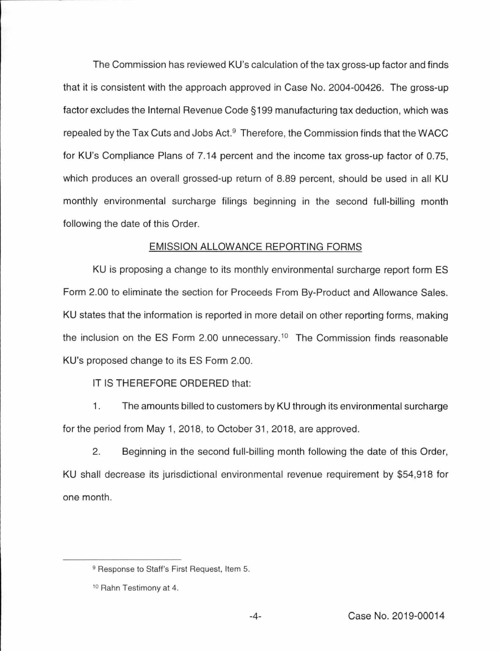The Commission has reviewed KU's calculation of the tax gross-up factor and finds that it is consistent with the approach approved in Case No. 2004-00426. The gross-up factor excludes the Internal Revenue Code§ 199 manufacturing tax deduction, which was repealed by the Tax Cuts and Jobs Act. $9$  Therefore, the Commission finds that the WACC for KU's Compliance Plans of 7.14 percent and the income tax gross-up factor of 0.75, which produces an overall grossed-up return of 8.89 percent, should be used in all KU monthly environmental surcharge filings beginning in the second full-billing month following the date of this Order.

## EMISSION ALLOWANCE REPORTING FORMS

KU is proposing a change to its monthly environmental surcharge report form ES Form 2.00 to eliminate the section for Proceeds From By-Product and Allowance Sales. KU states that the information is reported in more detail on other reporting forms, making the inclusion on the ES Form 2.00 unnecessary.<sup>10</sup> The Commission finds reasonable KU's proposed change to its ES Form 2.00.

# IT IS THEREFORE ORDERED that:

1. The amounts billed to customers by KU through its environmental surcharge for the period from May 1, 2018, to October 31, 2018, are approved.

2. Beginning in the second full-billing month following the date of this Order, KU shall decrease its jurisdictional environmental revenue requirement by \$54,918 for one month.

<sup>&</sup>lt;sup>9</sup> Response to Staff's First Request, Item 5.

<sup>10</sup> Rahn Testimony at 4.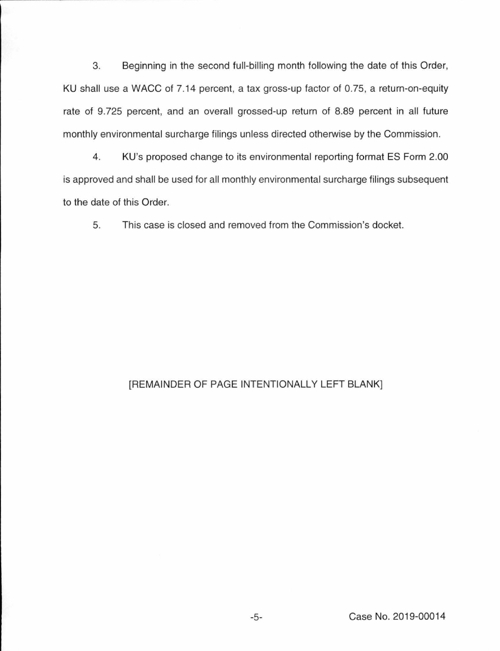3. Beginning in the second full-billing month following the date of this Order, KU shall use a WACC of 7.14 percent, a tax gross-up factor of 0.75, a return-on-equity rate of 9.725 percent, and an overall grossed-up return of 8.89 percent in all future monthly environmental surcharge filings unless directed otherwise by the Commission.

4. KU's proposed change to its environmental reporting format ES Form 2.00 is approved and shall be used for all monthly environmental surcharge filings subsequent to the date of this Order.

5. This case is closed and removed from the Commission's docket.

## [REMAINDER OF PAGE INTENTIONALLY LEFT BLANK]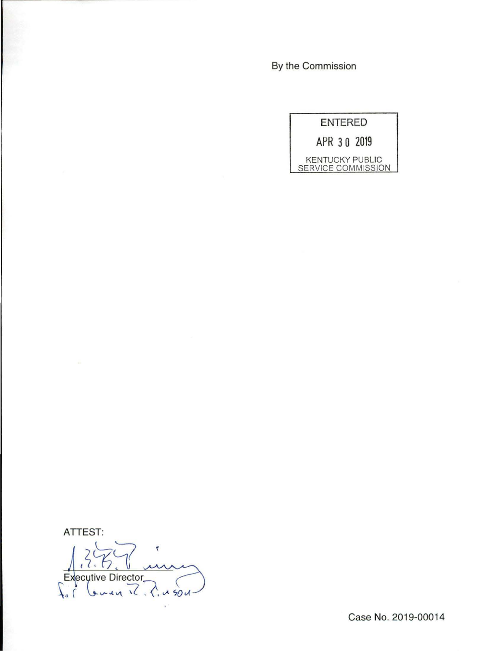By the Commission



**ATIEST:** 

 $\epsilon$ **Executive Director**  $\ldots$   $\sqrt{2}$   $\ldots$   $\ldots$  50 v

Case No. 2019-00014